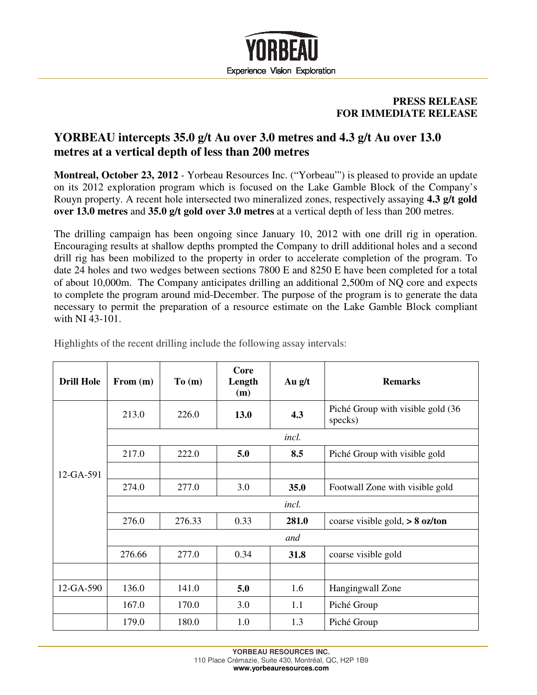

## **PRESS RELEASE FOR IMMEDIATE RELEASE**

## **YORBEAU intercepts 35.0 g/t Au over 3.0 metres and 4.3 g/t Au over 13.0 metres at a vertical depth of less than 200 metres**

**Montreal, October 23, 2012** - Yorbeau Resources Inc. ("Yorbeau"') is pleased to provide an update on its 2012 exploration program which is focused on the Lake Gamble Block of the Company's Rouyn property. A recent hole intersected two mineralized zones, respectively assaying **4.3 g/t gold over 13.0 metres** and **35.0 g/t gold over 3.0 metres** at a vertical depth of less than 200 metres.

The drilling campaign has been ongoing since January 10, 2012 with one drill rig in operation. Encouraging results at shallow depths prompted the Company to drill additional holes and a second drill rig has been mobilized to the property in order to accelerate completion of the program. To date 24 holes and two wedges between sections 7800 E and 8250 E have been completed for a total of about 10,000m. The Company anticipates drilling an additional 2,500m of NQ core and expects to complete the program around mid-December. The purpose of the program is to generate the data necessary to permit the preparation of a resource estimate on the Lake Gamble Block compliant with NI 43-101.

| <b>Drill Hole</b> | From (m)     | To(m)  | Core<br>Length<br>(m) | Au $g/t$ | <b>Remarks</b>                               |  |  |
|-------------------|--------------|--------|-----------------------|----------|----------------------------------------------|--|--|
|                   | 213.0        | 226.0  | 13.0                  | 4.3      | Piché Group with visible gold (36<br>specks) |  |  |
|                   |              |        |                       | incl.    |                                              |  |  |
| 12-GA-591         | 217.0        | 222.0  | 5.0                   | 8.5      | Piché Group with visible gold                |  |  |
|                   |              |        |                       |          |                                              |  |  |
|                   | 274.0        | 277.0  | 3.0                   | 35.0     | Footwall Zone with visible gold              |  |  |
|                   | <i>incl.</i> |        |                       |          |                                              |  |  |
|                   | 276.0        | 276.33 | 0.33                  | 281.0    | coarse visible gold, $> 8$ oz/ton            |  |  |
|                   |              |        |                       | and      |                                              |  |  |
|                   | 276.66       | 277.0  | 0.34                  | 31.8     | coarse visible gold                          |  |  |
|                   |              |        |                       |          |                                              |  |  |
| 12-GA-590         | 136.0        | 141.0  | 5.0                   | 1.6      | Hangingwall Zone                             |  |  |
|                   | 167.0        | 170.0  | 3.0                   | 1.1      | Piché Group                                  |  |  |
|                   | 179.0        | 180.0  | 1.0                   | 1.3      | Piché Group                                  |  |  |

Highlights of the recent drilling include the following assay intervals: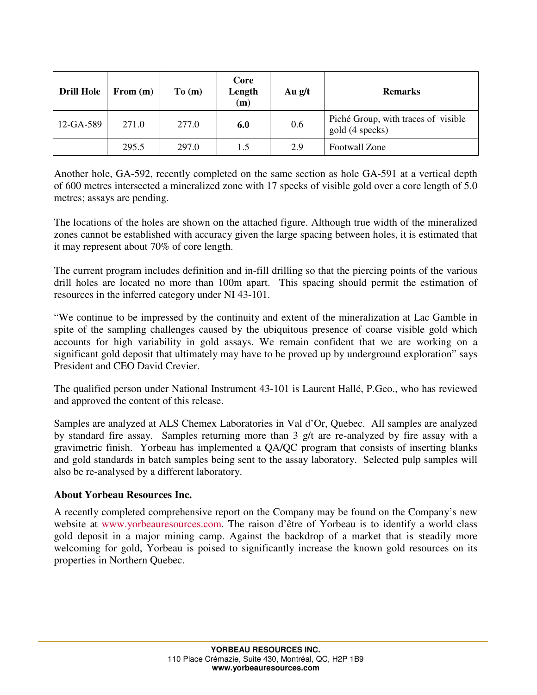| <b>Drill Hole</b> | From $(m)$ | To(m) | Core<br>Length<br>(m) | Au $g/t$ | <b>Remarks</b>                                         |
|-------------------|------------|-------|-----------------------|----------|--------------------------------------------------------|
| 12-GA-589         | 271.0      | 277.0 | 6.0                   | 0.6      | Piché Group, with traces of visible<br>gold (4 specks) |
|                   | 295.5      | 297.0 | 1.5                   | 2.9      | Footwall Zone                                          |

Another hole, GA-592, recently completed on the same section as hole GA-591 at a vertical depth of 600 metres intersected a mineralized zone with 17 specks of visible gold over a core length of 5.0 metres; assays are pending.

The locations of the holes are shown on the attached figure. Although true width of the mineralized zones cannot be established with accuracy given the large spacing between holes, it is estimated that it may represent about 70% of core length.

The current program includes definition and in-fill drilling so that the piercing points of the various drill holes are located no more than 100m apart. This spacing should permit the estimation of resources in the inferred category under NI 43-101.

"We continue to be impressed by the continuity and extent of the mineralization at Lac Gamble in spite of the sampling challenges caused by the ubiquitous presence of coarse visible gold which accounts for high variability in gold assays. We remain confident that we are working on a significant gold deposit that ultimately may have to be proved up by underground exploration" says President and CEO David Crevier.

The qualified person under National Instrument 43-101 is Laurent Hallé, P.Geo., who has reviewed and approved the content of this release.

Samples are analyzed at ALS Chemex Laboratories in Val d'Or, Quebec. All samples are analyzed by standard fire assay. Samples returning more than 3 g/t are re-analyzed by fire assay with a gravimetric finish. Yorbeau has implemented a QA/QC program that consists of inserting blanks and gold standards in batch samples being sent to the assay laboratory. Selected pulp samples will also be re-analysed by a different laboratory.

## **About Yorbeau Resources Inc.**

A recently completed comprehensive report on the Company may be found on the Company's new website at www.yorbeauresources.com. The raison d'être of Yorbeau is to identify a world class gold deposit in a major mining camp. Against the backdrop of a market that is steadily more welcoming for gold, Yorbeau is poised to significantly increase the known gold resources on its properties in Northern Quebec.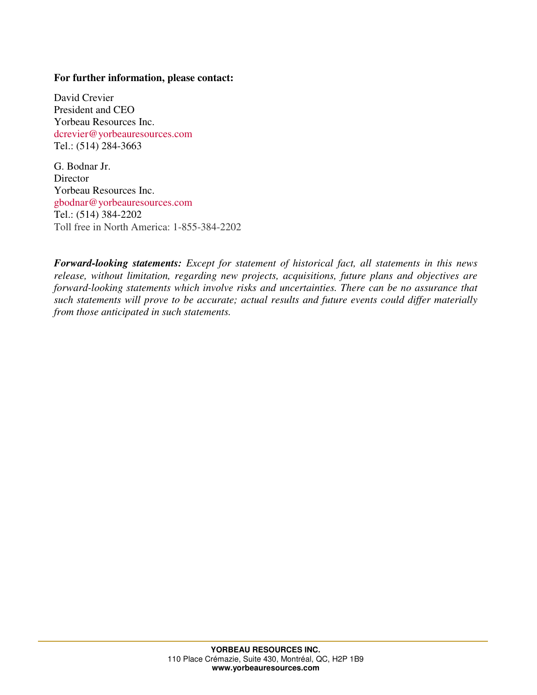## **For further information, please contact:**

David Crevier President and CEO Yorbeau Resources Inc. dcrevier@yorbeauresources.com Tel.: (514) 284-3663

G. Bodnar Jr. **Director** Yorbeau Resources Inc. gbodnar@yorbeauresources.com Tel.: (514) 384-2202 Toll free in North America: 1-855-384-2202

*Forward-looking statements: Except for statement of historical fact, all statements in this news release, without limitation, regarding new projects, acquisitions, future plans and objectives are forward-looking statements which involve risks and uncertainties. There can be no assurance that such statements will prove to be accurate; actual results and future events could differ materially from those anticipated in such statements.*